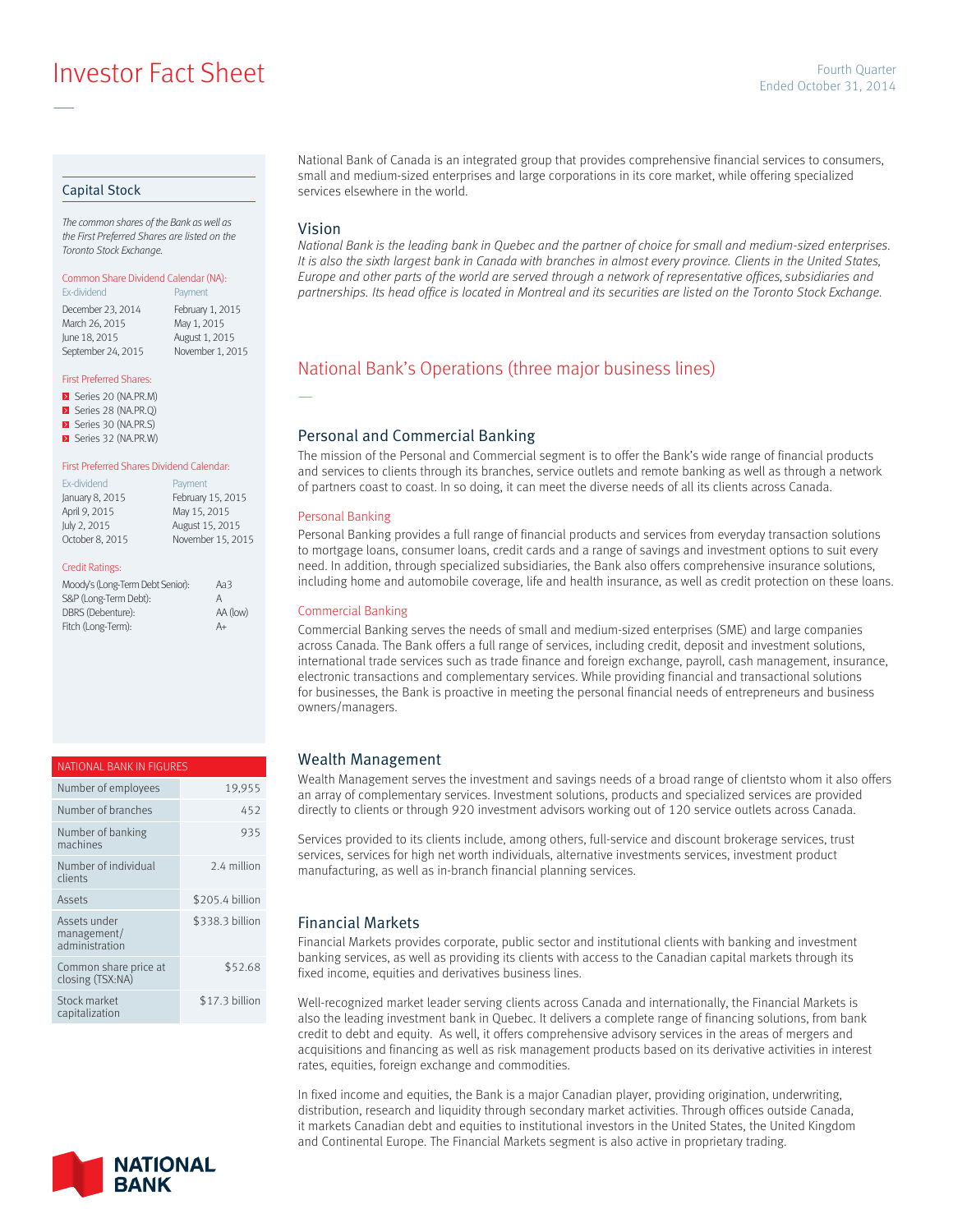# **Ended October 31, 2014**<br>Ended October 31, 2014

## Capital Stock

—

*The common shares of the Bank as well as the First Preferred Shares are listed on the Toronto Stock Exchange.*

#### Common Share Dividend Calendar (NA):

| Payment          |
|------------------|
| February 1, 2015 |
| May 1, 2015      |
| August 1, 2015   |
| November 1, 2015 |
|                  |

#### First Preferred Shares:

Series 20 (NA.PR.M) Series 28 (NA.PR.Q) Series 30 (NA.PR.S) Series 32 (NA.PR.W)

#### First Preferred Shares Dividend Calendar:

| Ex-dividend     | Payment           |
|-----------------|-------------------|
| January 8, 2015 | February 15, 2015 |
| April 9, 2015   | May 15, 2015      |
| July 2, 2015    | August 15, 2015   |
| October 8, 2015 | November 15, 2015 |

#### Credit Ratings:

| Moody's (Long-Term Debt Senior): | Aa3      |
|----------------------------------|----------|
| S&P (Long-Term Debt):            | А        |
| DBRS (Debenture):                | AA (low) |
| Fitch (Long-Term):               | A+       |

| NATIONAL BANK IN FIGURES                      |                 |
|-----------------------------------------------|-----------------|
| Number of employees                           | 19,955          |
| Number of branches                            | 452             |
| Number of banking<br>machines                 | 935             |
| Number of individual<br>clients               | 2.4 million     |
| Assets                                        | \$205.4 billion |
| Assets under<br>management/<br>administration | \$338.3 billion |
| Common share price at<br>closing (TSX:NA)     | \$52.68         |
| Stock market<br>capitalization                | \$17.3 billion  |



National Bank of Canada is an integrated group that provides comprehensive financial services to consumers, small and medium-sized enterprises and large corporations in its core market, while offering specialized services elsewhere in the world.

#### Vision

—

*National Bank is the leading bank in Quebec and the partner of choice for small and medium-sized enterprises. It is also the sixth largest bank in Canada with branches in almost every province. Clients in the United States, Europe and other parts of the world are served through a network of representative offices, subsidiaries and partnerships. Its head office is located in Montreal and its securities are listed on the Toronto Stock Exchange.*

# National Bank's Operations (three major business lines)

## Personal and Commercial Banking

The mission of the Personal and Commercial segment is to offer the Bank's wide range of financial products and services to clients through its branches, service outlets and remote banking as well as through a network of partners coast to coast. In so doing, it can meet the diverse needs of all its clients across Canada.

#### Personal Banking

Personal Banking provides a full range of financial products and services from everyday transaction solutions to mortgage loans, consumer loans, credit cards and a range of savings and investment options to suit every need. In addition, through specialized subsidiaries, the Bank also offers comprehensive insurance solutions, including home and automobile coverage, life and health insurance, as well as credit protection on these loans.

#### Commercial Banking

Commercial Banking serves the needs of small and medium-sized enterprises (SME) and large companies across Canada. The Bank offers a full range of services, including credit, deposit and investment solutions, international trade services such as trade finance and foreign exchange, payroll, cash management, insurance, electronic transactions and complementary services. While providing financial and transactional solutions for businesses, the Bank is proactive in meeting the personal financial needs of entrepreneurs and business owners/managers.

## Wealth Management

Wealth Management serves the investment and savings needs of a broad range of clientsto whom it also offers an array of complementary services. Investment solutions, products and specialized services are provided directly to clients or through 920 investment advisors working out of 120 service outlets across Canada.

Services provided to its clients include, among others, full-service and discount brokerage services, trust services, services for high net worth individuals, alternative investments services, investment product manufacturing, as well as in-branch financial planning services.

## Financial Markets

Financial Markets provides corporate, public sector and institutional clients with banking and investment banking services, as well as providing its clients with access to the Canadian capital markets through its fixed income, equities and derivatives business lines.

Well-recognized market leader serving clients across Canada and internationally, the Financial Markets is also the leading investment bank in Quebec. It delivers a complete range of financing solutions, from bank credit to debt and equity. As well, it offers comprehensive advisory services in the areas of mergers and acquisitions and financing as well as risk management products based on its derivative activities in interest rates, equities, foreign exchange and commodities.

In fixed income and equities, the Bank is a major Canadian player, providing origination, underwriting, distribution, research and liquidity through secondary market activities. Through offices outside Canada, it markets Canadian debt and equities to institutional investors in the United States, the United Kingdom and Continental Europe. The Financial Markets segment is also active in proprietary trading.